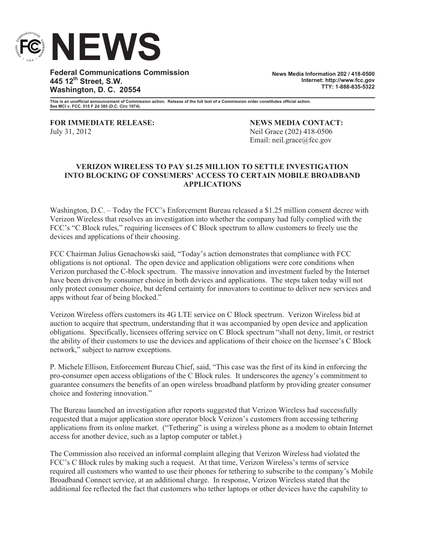

**Federal Communications Commission 445 12th Street, S.W. Washington, D. C. 20554**

**News Media Information 202 / 418-0500 Internet: http://www.fcc.gov TTY: 1-888-835-5322**

**This is an unofficial announcement of Commission action. Release of the full text of a Commission order constitutes official action. See MCI v. FCC. 515 F 2d 385 (D.C. Circ 1974).**

**FOR IMMEDIATE RELEASE: NEWS MEDIA CONTACT:** July 31, 2012 Neil Grace (202) 418-0506

Email: neil.grace@fcc.gov

## **VERIZON WIRELESS TO PAY \$1.25 MILLION TO SETTLE INVESTIGATION INTO BLOCKING OF CONSUMERS' ACCESS TO CERTAIN MOBILE BROADBAND APPLICATIONS**

Washington, D.C. – Today the FCC's Enforcement Bureau released a \$1.25 million consent decree with Verizon Wireless that resolves an investigation into whether the company had fully complied with the FCC's "C Block rules," requiring licensees of C Block spectrum to allow customers to freely use the devices and applications of their choosing.

FCC Chairman Julius Genachowski said, "Today's action demonstrates that compliance with FCC obligations is not optional. The open device and application obligations were core conditions when Verizon purchased the C-block spectrum. The massive innovation and investment fueled by the Internet have been driven by consumer choice in both devices and applications. The steps taken today will not only protect consumer choice, but defend certainty for innovators to continue to deliver new services and apps without fear of being blocked."

Verizon Wireless offers customers its 4G LTE service on C Block spectrum. Verizon Wireless bid at auction to acquire that spectrum, understanding that it was accompanied by open device and application obligations. Specifically, licensees offering service on C Block spectrum "shall not deny, limit, or restrict the ability of their customers to use the devices and applications of their choice on the licensee's C Block network," subject to narrow exceptions.

P. Michele Ellison, Enforcement Bureau Chief, said, "This case was the first of its kind in enforcing the pro-consumer open access obligations of the C Block rules. It underscores the agency's commitment to guarantee consumers the benefits of an open wireless broadband platform by providing greater consumer choice and fostering innovation."

The Bureau launched an investigation after reports suggested that Verizon Wireless had successfully requested that a major application store operator block Verizon's customers from accessing tethering applications from its online market. ("Tethering" is using a wireless phone as a modem to obtain Internet access for another device, such as a laptop computer or tablet.)

The Commission also received an informal complaint alleging that Verizon Wireless had violated the FCC's C Block rules by making such a request. At that time, Verizon Wireless's terms of service required all customers who wanted to use their phones for tethering to subscribe to the company's Mobile Broadband Connect service, at an additional charge. In response, Verizon Wireless stated that the additional fee reflected the fact that customers who tether laptops or other devices have the capability to